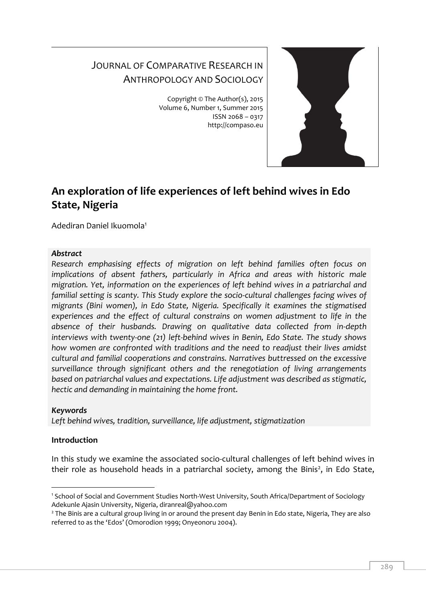# JOURNAL OF COMPARATIVE RESEARCH IN ANTHROPOLOGY AND SOCIOLOGY

Copyright © The Author(s), 2015 Volume 6, Number 1, Summer 2015 ISSN 2068 – 0317 http://compaso.eu



# **An exploration of life experiences of left behind wives in Edo State, Nigeria**

Adediran Daniel Ikuomola<sup>1</sup>

## *Abstract*

*Research emphasising effects of migration on left behind families often focus on implications of absent fathers, particularly in Africa and areas with historic male migration. Yet, information on the experiences of left behind wives in a patriarchal and familial setting is scanty. This Study explore the socio-cultural challenges facing wives of migrants (Bini women), in Edo State, Nigeria. Specifically it examines the stigmatised experiences and the effect of cultural constrains on women adjustment to life in the absence of their husbands. Drawing on qualitative data collected from in-depth interviews with twenty-one (21) left-behind wives in Benin, Edo State. The study shows how women are confronted with traditions and the need to readjust their lives amidst cultural and familial cooperations and constrains. Narratives buttressed on the excessive surveillance through significant others and the renegotiation of living arrangements based on patriarchal values and expectations. Life adjustment was described as stigmatic, hectic and demanding in maintaining the home front.*

## *Keywords*

*Left behind wives, tradition, surveillance, life adjustment, stigmatization*

## **Introduction**

In this study we examine the associated socio-cultural challenges of left behind wives in their role as household heads in a patriarchal society, among the Binis<sup>2</sup>, in Edo State,

<sup>&</sup>lt;sup>-</sup> <sup>1</sup> School of Social and Government Studies North-West University, South Africa/Department of Sociology Adekunle Ajasin University, Nigeria, diranreal@yahoo.com

<sup>2</sup> The Binis are a cultural group living in or around the present day Benin in Edo state, Nigeria, They are also referred to as the 'Edos' (Omorodion 1999; Onyeonoru 2004).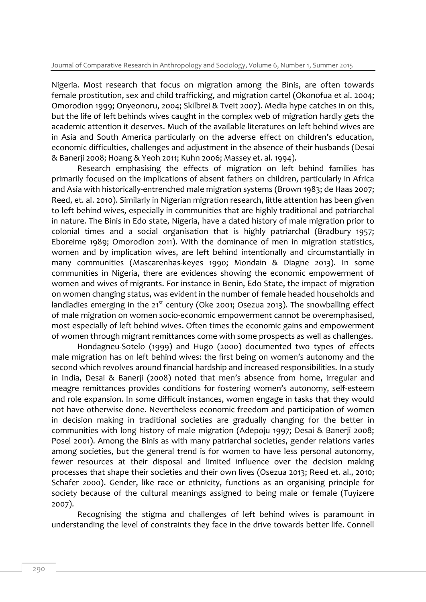Nigeria. Most research that focus on migration among the Binis, are often towards female prostitution, sex and child trafficking, and migration cartel (Okonofua et al. 2004; Omorodion 1999; Onyeonoru, 2004; Skilbrei & Tveit 2007). Media hype catches in on this, but the life of left behinds wives caught in the complex web of migration hardly gets the academic attention it deserves. Much of the available literatures on left behind wives are in Asia and South America particularly on the adverse effect on children's education, economic difficulties, challenges and adjustment in the absence of their husbands (Desai & Banerji 2008; Hoang & Yeoh 2011; Kuhn 2006; Massey et. al. 1994).

Research emphasising the effects of migration on left behind families has primarily focused on the implications of absent fathers on children, particularly in Africa and Asia with historically-entrenched male migration systems (Brown 1983; de Haas 2007; Reed, et. al. 2010). Similarly in Nigerian migration research, little attention has been given to left behind wives, especially in communities that are highly traditional and patriarchal in nature. The Binis in Edo state, Nigeria, have a dated history of male migration prior to colonial times and a social organisation that is highly patriarchal (Bradbury 1957; Eboreime 1989; Omorodion 2011). With the dominance of men in migration statistics, women and by implication wives, are left behind intentionally and circumstantially in many communities (Mascarenhas-keyes 1990; Mondain & Diagne 2013). In some communities in Nigeria, there are evidences showing the economic empowerment of women and wives of migrants. For instance in Benin, Edo State, the impact of migration on women changing status, was evident in the number of female headed households and landladies emerging in the 21<sup>st</sup> century (Oke 2001; Osezua 2013). The snowballing effect of male migration on women socio-economic empowerment cannot be overemphasised, most especially of left behind wives. Often times the economic gains and empowerment of women through migrant remittances come with some prospects as well as challenges.

Hondagneu-Sotelo (1999) and Hugo (2000) documented two types of effects male migration has on left behind wives: the first being on women's autonomy and the second which revolves around financial hardship and increased responsibilities. In a study in India, Desai & Banerji (2008) noted that men's absence from home, irregular and meagre remittances provides conditions for fostering women's autonomy, self-esteem and role expansion. In some difficult instances, women engage in tasks that they would not have otherwise done. Nevertheless economic freedom and participation of women in decision making in traditional societies are gradually changing for the better in communities with long history of male migration (Adepoju 1997; Desai & Banerji 2008; Posel 2001). Among the Binis as with many patriarchal societies, gender relations varies among societies, but the general trend is for women to have less personal autonomy, fewer resources at their disposal and limited influence over the decision making processes that shape their societies and their own lives (Osezua 2013; Reed et. al., 2010; Schafer 2000). Gender, like race or ethnicity, functions as an organising principle for society because of the cultural meanings assigned to being male or female (Tuyizere 2007).

Recognising the stigma and challenges of left behind wives is paramount in understanding the level of constraints they face in the drive towards better life. Connell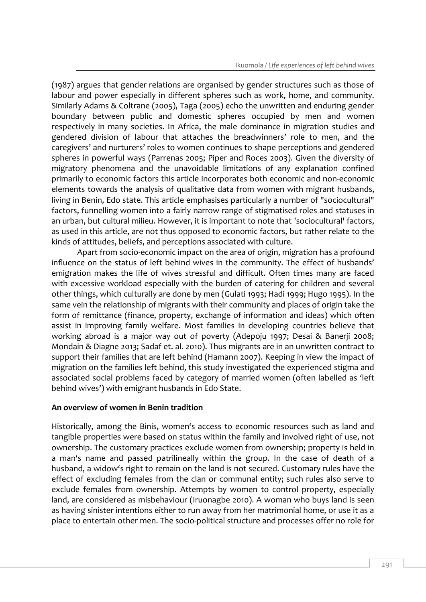(1987) argues that gender relations are organised by gender structures such as those of labour and power especially in different spheres such as work, home, and community. Similarly Adams & Coltrane (2005), Taga (2005) echo the unwritten and enduring gender boundary between public and domestic spheres occupied by men and women respectively in many societies. In Africa, the male dominance in migration studies and gendered division of labour that attaches the breadwinners' role to men, and the caregivers' and nurturers' roles to women continues to shape perceptions and gendered spheres in powerful ways (Parrenas 2005; Piper and Roces 2003). Given the diversity of migratory phenomena and the unavoidable limitations of any explanation confined primarily to economic factors this article incorporates both economic and non-economic elements towards the analysis of qualitative data from women with migrant husbands, living in Benin, Edo state. This article emphasises particularly a number of "sociocultural" factors, funnelling women into a fairly narrow range of stigmatised roles and statuses in an urban, but cultural milieu. However, it is important to note that 'sociocultural' factors, as used in this article, are not thus opposed to economic factors, but rather relate to the kinds of attitudes, beliefs, and perceptions associated with culture.

Apart from socio-economic impact on the area of origin, migration has a profound influence on the status of left behind wives in the community. The effect of husbands' emigration makes the life of wives stressful and difficult. Often times many are faced with excessive workload especially with the burden of catering for children and several other things, which culturally are done by men (Gulati 1993; Hadi 1999; Hugo 1995). In the same vein the relationship of migrants with their community and places of origin take the form of remittance (finance, property, exchange of information and ideas) which often assist in improving family welfare. Most families in developing countries believe that working abroad is a major way out of poverty (Adepoju 1997; Desai & Banerji 2008; Mondain & Diagne 2013; Sadaf et. al. 2010). Thus migrants are in an unwritten contract to support their families that are left behind (Hamann 2007). Keeping in view the impact of migration on the families left behind, this study investigated the experienced stigma and associated social problems faced by category of married women (often labelled as 'left behind wives') with emigrant husbands in Edo State.

## **An overview of women in Benin tradition**

Historically, among the Binis, women's access to economic resources such as land and tangible properties were based on status within the family and involved right of use, not ownership. The customary practices exclude women from ownership; property is held in a man's name and passed patrilineally within the group. In the case of death of a husband, a widow's right to remain on the land is not secured. Customary rules have the effect of excluding females from the clan or communal entity; such rules also serve to exclude females from ownership. Attempts by women to control property, especially land, are considered as misbehaviour (Iruonagbe 2010). A woman who buys land is seen as having sinister intentions either to run away from her matrimonial home, or use it as a place to entertain other men. The socio-political structure and processes offer no role for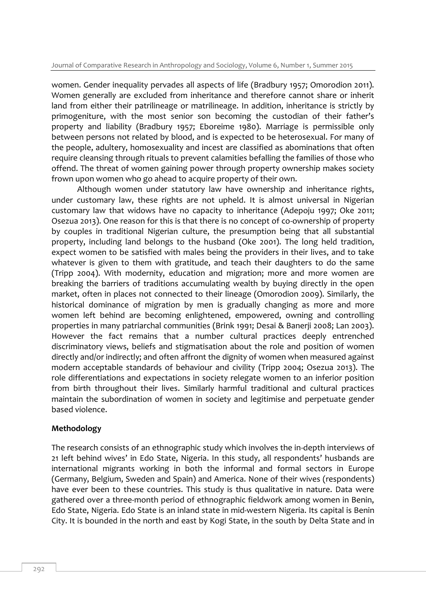women. Gender inequality pervades all aspects of life (Bradbury 1957; Omorodion 2011). Women generally are excluded from inheritance and therefore cannot share or inherit land from either their patrilineage or matrilineage. In addition, inheritance is strictly by primogeniture, with the most senior son becoming the custodian of their father's property and liability (Bradbury 1957; Eboreime 1980). Marriage is permissible only between persons not related by blood, and is expected to be heterosexual. For many of the people, adultery, homosexuality and incest are classified as abominations that often require cleansing through rituals to prevent calamities befalling the families of those who offend. The threat of women gaining power through property ownership makes society frown upon women who go ahead to acquire property of their own.

Although women under statutory law have ownership and inheritance rights, under customary law, these rights are not upheld. It is almost universal in Nigerian customary law that widows have no capacity to inheritance (Adepoju 1997; Oke 2011; Osezua 2013). One reason for this is that there is no concept of co-ownership of property by couples in traditional Nigerian culture, the presumption being that all substantial property, including land belongs to the husband (Oke 2001). The long held tradition, expect women to be satisfied with males being the providers in their lives, and to take whatever is given to them with gratitude, and teach their daughters to do the same (Tripp 2004). With modernity, education and migration; more and more women are breaking the barriers of traditions accumulating wealth by buying directly in the open market, often in places not connected to their lineage (Omorodion 2009). Similarly, the historical dominance of migration by men is gradually changing as more and more women left behind are becoming enlightened, empowered, owning and controlling properties in many patriarchal communities (Brink 1991; Desai & Banerji 2008; Lan 2003). However the fact remains that a number cultural practices deeply entrenched discriminatory views, beliefs and stigmatisation about the role and position of women directly and/or indirectly; and often affront the dignity of women when measured against modern acceptable standards of behaviour and civility (Tripp 2004; Osezua 2013). The role differentiations and expectations in society relegate women to an inferior position from birth throughout their lives. Similarly harmful traditional and cultural practices maintain the subordination of women in society and legitimise and perpetuate gender based violence.

#### **Methodology**

The research consists of an ethnographic study which involves the in-depth interviews of 21 left behind wives' in Edo State, Nigeria. In this study, all respondents' husbands are international migrants working in both the informal and formal sectors in Europe (Germany, Belgium, Sweden and Spain) and America. None of their wives (respondents) have ever been to these countries. This study is thus qualitative in nature. Data were gathered over a three-month period of ethnographic fieldwork among women in Benin, Edo State, Nigeria. Edo State is an inland state in mid-western Nigeria. Its capital is Benin City. It is bounded in the north and east by Kogi State, in the south by Delta State and in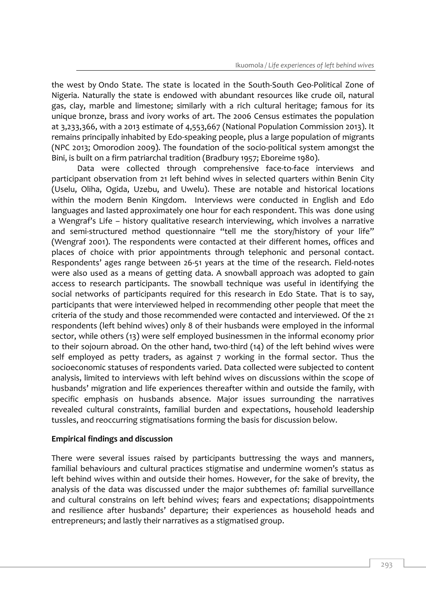the west by Ondo State. The state is located in the South-South Geo-Political Zone of Nigeria. Naturally the state is endowed with abundant resources like crude oil, natural gas, clay, marble and limestone; similarly with a rich cultural heritage; famous for its unique bronze, brass and ivory works of art. The 2006 Census estimates the population at 3,233,366, with a 2013 estimate of 4,553,667 (National Population Commission 2013). It remains principally inhabited by Edo-speaking people, plus a large population of migrants (NPC 2013; Omorodion 2009). The foundation of the socio-political system amongst the Bini, is built on a firm patriarchal tradition (Bradbury 1957; Eboreime 1980).

Data were collected through comprehensive face-to-face interviews and participant observation from 21 left behind wives in selected quarters within Benin City (Uselu, Oliha, Ogida, Uzebu, and Uwelu). These are notable and historical locations within the modern Benin Kingdom. Interviews were conducted in English and Edo languages and lasted approximately one hour for each respondent. This was done using a Wengraf's Life – history qualitative research interviewing, which involves a narrative and semi-structured method questionnaire "tell me the story/history of your life" (Wengraf 2001). The respondents were contacted at their different homes, offices and places of choice with prior appointments through telephonic and personal contact. Respondents' ages range between 26-51 years at the time of the research. Field-notes were also used as a means of getting data. A snowball approach was adopted to gain access to research participants. The snowball technique was useful in identifying the social networks of participants required for this research in Edo State. That is to say, participants that were interviewed helped in recommending other people that meet the criteria of the study and those recommended were contacted and interviewed. Of the 21 respondents (left behind wives) only 8 of their husbands were employed in the informal sector, while others (13) were self employed businessmen in the informal economy prior to their sojourn abroad. On the other hand, two-third (14) of the left behind wives were self employed as petty traders, as against 7 working in the formal sector. Thus the socioeconomic statuses of respondents varied. Data collected were subjected to content analysis, limited to interviews with left behind wives on discussions within the scope of husbands' migration and life experiences thereafter within and outside the family, with specific emphasis on husbands absence. Major issues surrounding the narratives revealed cultural constraints, familial burden and expectations, household leadership tussles, and reoccurring stigmatisations forming the basis for discussion below.

## **Empirical findings and discussion**

There were several issues raised by participants buttressing the ways and manners, familial behaviours and cultural practices stigmatise and undermine women's status as left behind wives within and outside their homes. However, for the sake of brevity, the analysis of the data was discussed under the major subthemes of: familial surveillance and cultural constrains on left behind wives; fears and expectations; disappointments and resilience after husbands' departure; their experiences as household heads and entrepreneurs; and lastly their narratives as a stigmatised group.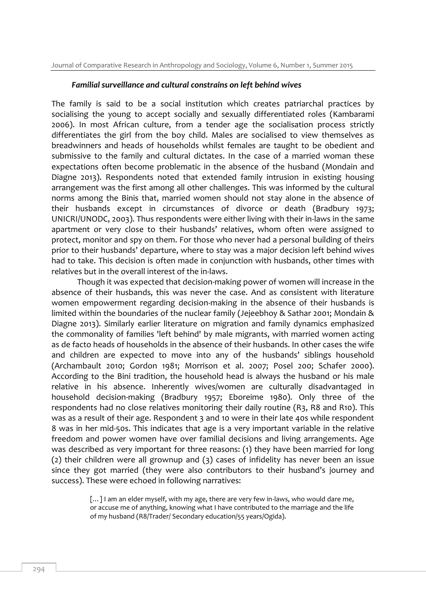#### *Familial surveillance and cultural constrains on left behind wives*

The family is said to be a social institution which creates patriarchal practices by socialising the young to accept socially and sexually differentiated roles (Kambarami 2006). In most African culture, from a tender age the socialisation process strictly differentiates the girl from the boy child. Males are socialised to view themselves as breadwinners and heads of households whilst females are taught to be obedient and submissive to the family and cultural dictates. In the case of a married woman these expectations often become problematic in the absence of the husband (Mondain and Diagne 2013). Respondents noted that extended family intrusion in existing housing arrangement was the first among all other challenges. This was informed by the cultural norms among the Binis that, married women should not stay alone in the absence of their husbands except in circumstances of divorce or death (Bradbury 1973; UNICRI/UNODC, 2003). Thus respondents were either living with their in-laws in the same apartment or very close to their husbands' relatives, whom often were assigned to protect, monitor and spy on them. For those who never had a personal building of theirs prior to their husbands' departure, where to stay was a major decision left behind wives had to take. This decision is often made in conjunction with husbands, other times with relatives but in the overall interest of the in-laws.

Though it was expected that decision-making power of women will increase in the absence of their husbands, this was never the case. And as consistent with literature women empowerment regarding decision-making in the absence of their husbands is limited within the boundaries of the nuclear family (Jejeebhoy & Sathar 2001; Mondain & Diagne 2013). Similarly earlier literature on migration and family dynamics emphasized the commonality of families 'left behind' by male migrants, with married women acting as de facto heads of households in the absence of their husbands. In other cases the wife and children are expected to move into any of the husbands' siblings household (Archambault 2010; Gordon 1981; Morrison et al. 2007; Posel 200; Schafer 2000). According to the Bini tradition, the household head is always the husband or his male relative in his absence. Inherently wives/women are culturally disadvantaged in household decision-making (Bradbury 1957; Eboreime 1980). Only three of the respondents had no close relatives monitoring their daily routine (R3, R8 and R10). This was as a result of their age. Respondent 3 and 10 were in their late 40s while respondent 8 was in her mid-50s. This indicates that age is a very important variable in the relative freedom and power women have over familial decisions and living arrangements. Age was described as very important for three reasons: (1) they have been married for long (2) their children were all grownup and (3) cases of infidelity has never been an issue since they got married (they were also contributors to their husband's journey and success). These were echoed in following narratives:

> [...] I am an elder myself, with my age, there are very few in-laws, who would dare me, or accuse me of anything, knowing what I have contributed to the marriage and the life of my husband (R8/Trader/ Secondary education/55 years/Ogida).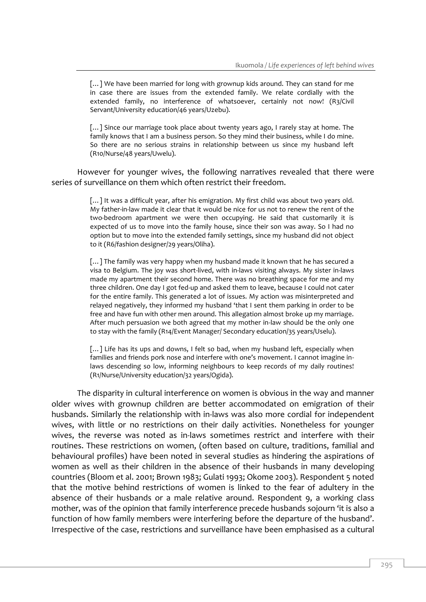[...] We have been married for long with grownup kids around. They can stand for me in case there are issues from the extended family. We relate cordially with the extended family, no interference of whatsoever, certainly not now! (R3/Civil Servant/University education/46 years/Uzebu).

[...] Since our marriage took place about twenty years ago, I rarely stay at home. The family knows that I am a business person. So they mind their business, while I do mine. So there are no serious strains in relationship between us since my husband left (R10/Nurse/48 years/Uwelu).

However for younger wives, the following narratives revealed that there were series of surveillance on them which often restrict their freedom.

> [...] It was a difficult year, after his emigration. My first child was about two years old. My father-in-law made it clear that it would be nice for us not to renew the rent of the two-bedroom apartment we were then occupying. He said that customarily it is expected of us to move into the family house, since their son was away. So I had no option but to move into the extended family settings, since my husband did not object to it (R6/fashion designer/29 years/Oliha).

> [...] The family was very happy when my husband made it known that he has secured a visa to Belgium. The joy was short-lived, with in-laws visiting always. My sister in-laws made my apartment their second home. There was no breathing space for me and my three children. One day I got fed-up and asked them to leave, because I could not cater for the entire family. This generated a lot of issues. My action was misinterpreted and relayed negatively, they informed my husband 'that I sent them parking in order to be free and have fun with other men around. This allegation almost broke up my marriage. After much persuasion we both agreed that my mother in-law should be the only one to stay with the family (R14/Event Manager/ Secondary education/35 years/Uselu).

> [...] Life has its ups and downs, I felt so bad, when my husband left, especially when families and friends pork nose and interfere with one's movement. I cannot imagine inlaws descending so low, informing neighbours to keep records of my daily routines! (R1/Nurse/University education/32 years/Ogida).

The disparity in cultural interference on women is obvious in the way and manner older wives with grownup children are better accommodated on emigration of their husbands. Similarly the relationship with in-laws was also more cordial for independent wives, with little or no restrictions on their daily activities. Nonetheless for younger wives, the reverse was noted as in-laws sometimes restrict and interfere with their routines. These restrictions on women, (often based on culture, traditions, familial and behavioural profiles) have been noted in several studies as hindering the aspirations of women as well as their children in the absence of their husbands in many developing countries (Bloom et al. 2001; Brown 1983; Gulati 1993; Okome 2003). Respondent 5 noted that the motive behind restrictions of women is linked to the fear of adultery in the absence of their husbands or a male relative around. Respondent 9, a working class mother, was of the opinion that family interference precede husbands sojourn 'it is also a function of how family members were interfering before the departure of the husband'. Irrespective of the case, restrictions and surveillance have been emphasised as a cultural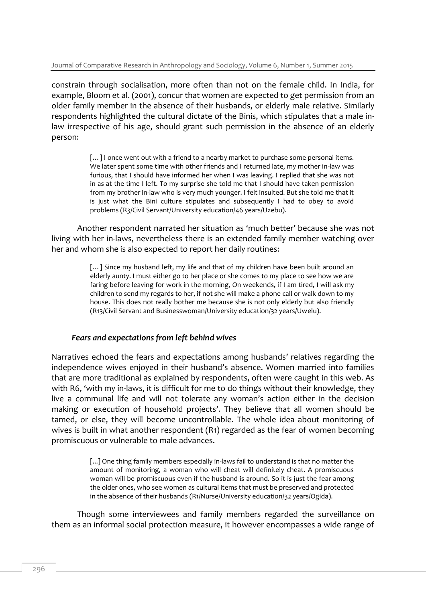constrain through socialisation, more often than not on the female child. In India, for example, Bloom et al. (2001), concur that women are expected to get permission from an older family member in the absence of their husbands, or elderly male relative. Similarly respondents highlighted the cultural dictate of the Binis, which stipulates that a male inlaw irrespective of his age, should grant such permission in the absence of an elderly person:

> [...] I once went out with a friend to a nearby market to purchase some personal items. We later spent some time with other friends and I returned late, my mother in-law was furious, that I should have informed her when I was leaving. I replied that she was not in as at the time I left. To my surprise she told me that I should have taken permission from my brother in-law who is very much younger. I felt insulted. But she told me that it is just what the Bini culture stipulates and subsequently I had to obey to avoid problems (R3/Civil Servant/University education/46 years/Uzebu).

Another respondent narrated her situation as 'much better' because she was not living with her in-laws, nevertheless there is an extended family member watching over her and whom she is also expected to report her daily routines:

> [...] Since my husband left, my life and that of my children have been built around an elderly aunty. I must either go to her place or she comes to my place to see how we are faring before leaving for work in the morning, On weekends, if I am tired, I will ask my children to send my regards to her, if not she will make a phone call or walk down to my house. This does not really bother me because she is not only elderly but also friendly (R13/Civil Servant and Businesswoman/University education/32 years/Uwelu).

#### *Fears and expectations from left behind wives*

Narratives echoed the fears and expectations among husbands' relatives regarding the independence wives enjoyed in their husband's absence. Women married into families that are more traditional as explained by respondents, often were caught in this web. As with R6, 'with my in-laws, it is difficult for me to do things without their knowledge, they live a communal life and will not tolerate any woman's action either in the decision making or execution of household projects'. They believe that all women should be tamed, or else, they will become uncontrollable. The whole idea about monitoring of wives is built in what another respondent (R1) regarded as the fear of women becoming promiscuous or vulnerable to male advances.

> [...] One thing family members especially in-laws fail to understand is that no matter the amount of monitoring, a woman who will cheat will definitely cheat. A promiscuous woman will be promiscuous even if the husband is around. So it is just the fear among the older ones, who see women as cultural items that must be preserved and protected in the absence of their husbands (R1/Nurse/University education/32 years/Ogida).

Though some interviewees and family members regarded the surveillance on them as an informal social protection measure, it however encompasses a wide range of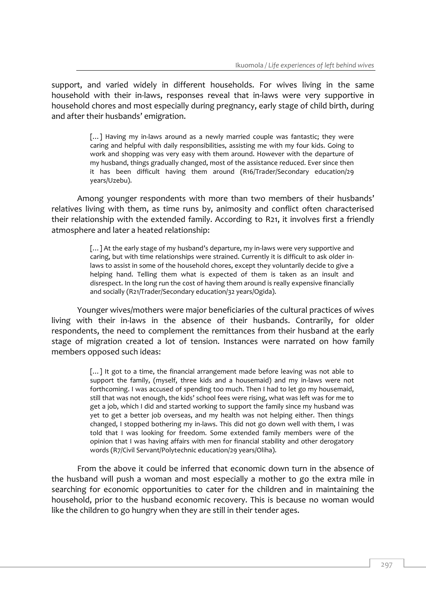support, and varied widely in different households. For wives living in the same household with their in-laws, responses reveal that in-laws were very supportive in household chores and most especially during pregnancy, early stage of child birth, during and after their husbands' emigration.

> [...] Having my in-laws around as a newly married couple was fantastic; they were caring and helpful with daily responsibilities, assisting me with my four kids. Going to work and shopping was very easy with them around. However with the departure of my husband, things gradually changed, most of the assistance reduced. Ever since then it has been difficult having them around (R16/Trader/Secondary education/29 years/Uzebu).

Among younger respondents with more than two members of their husbands' relatives living with them, as time runs by, animosity and conflict often characterised their relationship with the extended family. According to R21, it involves first a friendly atmosphere and later a heated relationship:

> [...] At the early stage of my husband's departure, my in-laws were very supportive and caring, but with time relationships were strained. Currently it is difficult to ask older inlaws to assist in some of the household chores, except they voluntarily decide to give a helping hand. Telling them what is expected of them is taken as an insult and disrespect. In the long run the cost of having them around is really expensive financially and socially (R21/Trader/Secondary education/32 years/Ogida).

Younger wives/mothers were major beneficiaries of the cultural practices of wives living with their in-laws in the absence of their husbands. Contrarily, for older respondents, the need to complement the remittances from their husband at the early stage of migration created a lot of tension. Instances were narrated on how family members opposed such ideas:

> [...] It got to a time, the financial arrangement made before leaving was not able to support the family, (myself, three kids and a housemaid) and my in-laws were not forthcoming. I was accused of spending too much. Then I had to let go my housemaid, still that was not enough, the kids' school fees were rising, what was left was for me to get a job, which I did and started working to support the family since my husband was yet to get a better job overseas, and my health was not helping either. Then things changed, I stopped bothering my in-laws. This did not go down well with them, I was told that I was looking for freedom. Some extended family members were of the opinion that I was having affairs with men for financial stability and other derogatory words (R7/Civil Servant/Polytechnic education/29 years/Oliha).

From the above it could be inferred that economic down turn in the absence of the husband will push a woman and most especially a mother to go the extra mile in searching for economic opportunities to cater for the children and in maintaining the household, prior to the husband economic recovery. This is because no woman would like the children to go hungry when they are still in their tender ages.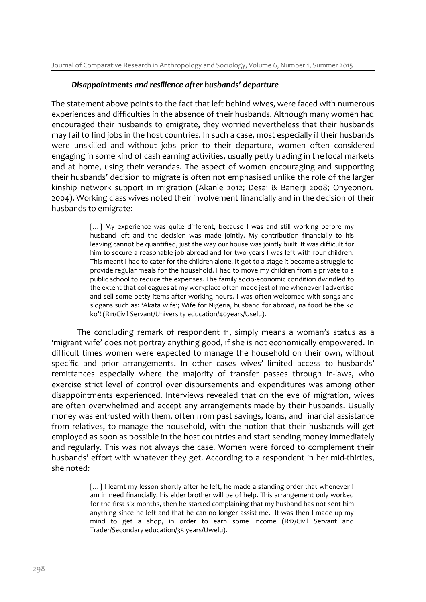#### *Disappointments and resilience after husbands' departure*

The statement above points to the fact that left behind wives, were faced with numerous experiences and difficulties in the absence of their husbands. Although many women had encouraged their husbands to emigrate, they worried nevertheless that their husbands may fail to find jobs in the host countries. In such a case, most especially if their husbands were unskilled and without jobs prior to their departure, women often considered engaging in some kind of cash earning activities, usually petty trading in the local markets and at home, using their verandas. The aspect of women encouraging and supporting their husbands' decision to migrate is often not emphasised unlike the role of the larger kinship network support in migration (Akanle 2012; Desai & Banerji 2008; Onyeonoru 2004). Working class wives noted their involvement financially and in the decision of their husbands to emigrate:

> [...] My experience was quite different, because I was and still working before my husband left and the decision was made jointly. My contribution financially to his leaving cannot be quantified, just the way our house was jointly built. It was difficult for him to secure a reasonable job abroad and for two years I was left with four children. This meant I had to cater for the children alone. It got to a stage it became a struggle to provide regular meals for the household. I had to move my children from a private to a public school to reduce the expenses. The family socio-economic condition dwindled to the extent that colleagues at my workplace often made jest of me whenever I advertise and sell some petty items after working hours. I was often welcomed with songs and slogans such as: 'Akata wife'; Wife for Nigeria, husband for abroad, na food be the ko ko'! (R11/Civil Servant/University education/40years/Uselu).

The concluding remark of respondent 11, simply means a woman's status as a 'migrant wife' does not portray anything good, if she is not economically empowered. In difficult times women were expected to manage the household on their own, without specific and prior arrangements. In other cases wives' limited access to husbands' remittances especially where the majority of transfer passes through in-laws, who exercise strict level of control over disbursements and expenditures was among other disappointments experienced. Interviews revealed that on the eve of migration, wives are often overwhelmed and accept any arrangements made by their husbands. Usually money was entrusted with them, often from past savings, loans, and financial assistance from relatives, to manage the household, with the notion that their husbands will get employed as soon as possible in the host countries and start sending money immediately and regularly. This was not always the case. Women were forced to complement their husbands' effort with whatever they get. According to a respondent in her mid-thirties, she noted:

> [...] I learnt my lesson shortly after he left, he made a standing order that whenever I am in need financially, his elder brother will be of help. This arrangement only worked for the first six months, then he started complaining that my husband has not sent him anything since he left and that he can no longer assist me. It was then I made up my mind to get a shop, in order to earn some income (R12/Civil Servant and Trader/Secondary education/35 years/Uwelu).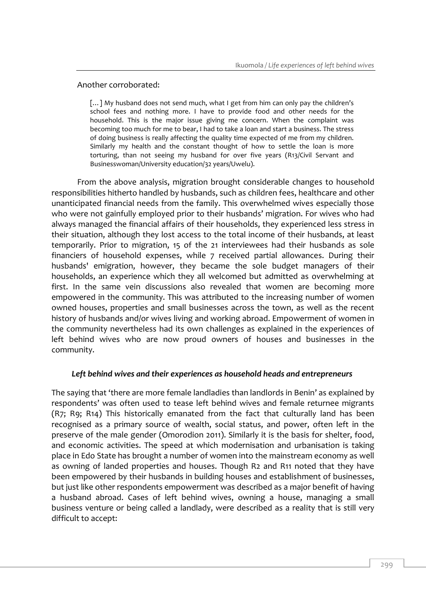#### Another corroborated:

[...] My husband does not send much, what I get from him can only pay the children's school fees and nothing more. I have to provide food and other needs for the household. This is the major issue giving me concern. When the complaint was becoming too much for me to bear, I had to take a loan and start a business. The stress of doing business is really affecting the quality time expected of me from my children. Similarly my health and the constant thought of how to settle the loan is more torturing, than not seeing my husband for over five years (R13/Civil Servant and Businesswoman/University education/32 years/Uwelu).

From the above analysis, migration brought considerable changes to household responsibilities hitherto handled by husbands, such as children fees, healthcare and other unanticipated financial needs from the family. This overwhelmed wives especially those who were not gainfully employed prior to their husbands' migration. For wives who had always managed the financial affairs of their households, they experienced less stress in their situation, although they lost access to the total income of their husbands, at least temporarily. Prior to migration, 15 of the 21 interviewees had their husbands as sole financiers of household expenses, while 7 received partial allowances. During their husbands' emigration, however, they became the sole budget managers of their households, an experience which they all welcomed but admitted as overwhelming at first. In the same vein discussions also revealed that women are becoming more empowered in the community. This was attributed to the increasing number of women owned houses, properties and small businesses across the town, as well as the recent history of husbands and/or wives living and working abroad. Empowerment of women in the community nevertheless had its own challenges as explained in the experiences of left behind wives who are now proud owners of houses and businesses in the community.

## *Left behind wives and their experiences as household heads and entrepreneurs*

The saying that 'there are more female landladies than landlords in Benin' as explained by respondents' was often used to tease left behind wives and female returnee migrants (R7; R9; R14) This historically emanated from the fact that culturally land has been recognised as a primary source of wealth, social status, and power, often left in the preserve of the male gender (Omorodion 2011). Similarly it is the basis for shelter, food, and economic activities. The speed at which modernisation and urbanisation is taking place in Edo State has brought a number of women into the mainstream economy as well as owning of landed properties and houses. Though R2 and R11 noted that they have been empowered by their husbands in building houses and establishment of businesses, but just like other respondents empowerment was described as a major benefit of having a husband abroad. Cases of left behind wives, owning a house, managing a small business venture or being called a landlady, were described as a reality that is still very difficult to accept: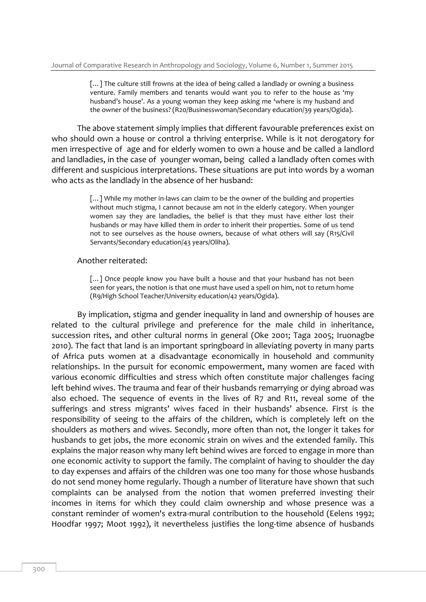[...] The culture still frowns at the idea of being called a landlady or owning a business venture. Family members and tenants would want you to refer to the house as 'my husband's house'. As a young woman they keep asking me 'where is my husband and the owner of the business? (R20/Businesswoman/Secondary education/39 years/Ogida).

The above statement simply implies that different favourable preferences exist on who should own a house or control a thriving enterprise. While is it not derogatory for men irrespective of age and for elderly women to own a house and be called a landlord and landladies, in the case of younger woman, being called a landlady often comes with different and suspicious interpretations. These situations are put into words by a woman who acts as the landlady in the absence of her husband:

> [...] While my mother in-laws can claim to be the owner of the building and properties without much stigma, I cannot because am not in the elderly category. When younger women say they are landladies, the belief is that they must have either lost their husbands or may have killed them in order to inherit their properties. Some of us tend not to see ourselves as the house owners, because of what others will say (R15/Civil Servants/Secondary education/43 years/Oliha).

#### Another reiterated:

[...] Once people know you have built a house and that your husband has not been seen for years, the notion is that one must have used a spell on him, not to return home (R9/High School Teacher/University education/42 years/Ogida).

By implication, stigma and gender inequality in land and ownership of houses are related to the cultural privilege and preference for the male child in inheritance, succession rites, and other cultural norms in general (Oke 2001; Taga 2005; Iruonagbe 2010). The fact that land is an important springboard in alleviating poverty in many parts of Africa puts women at a disadvantage economically in household and community relationships. In the pursuit for economic empowerment, many women are faced with various economic difficulties and stress which often constitute major challenges facing left behind wives. The trauma and fear of their husbands remarrying or dying abroad was also echoed. The sequence of events in the lives of R7 and R11, reveal some of the sufferings and stress migrants' wives faced in their husbands' absence. First is the responsibility of seeing to the affairs of the children, which is completely left on the shoulders as mothers and wives. Secondly, more often than not, the longer it takes for husbands to get jobs, the more economic strain on wives and the extended family. This explains the major reason why many left behind wives are forced to engage in more than one economic activity to support the family. The complaint of having to shoulder the day to day expenses and affairs of the children was one too many for those whose husbands do not send money home regularly. Though a number of literature have shown that such complaints can be analysed from the notion that women preferred investing their incomes in items for which they could claim ownership and whose presence was a constant reminder of women's extra-mural contribution to the household (Eelens 1992; Hoodfar 1997; Moot 1992), it nevertheless justifies the long-time absence of husbands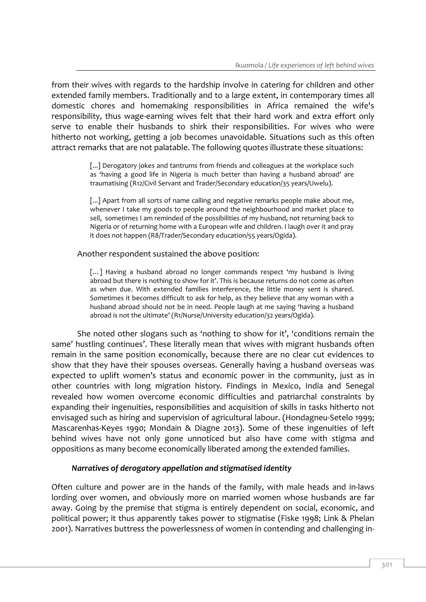from their wives with regards to the hardship involve in catering for children and other extended family members. Traditionally and to a large extent, in contemporary times all domestic chores and homemaking responsibilities in Africa remained the wife's responsibility, thus wage-earning wives felt that their hard work and extra effort only serve to enable their husbands to shirk their responsibilities. For wives who were hitherto not working, getting a job becomes unavoidable. Situations such as this often attract remarks that are not palatable. The following quotes illustrate these situations:

> [...] Derogatory jokes and tantrums from friends and colleagues at the workplace such as 'having a good life in Nigeria is much better than having a husband abroad' are traumatising (R12/Civil Servant and Trader/Secondary education/35 years/Uwelu).

> [...] Apart from all sorts of name calling and negative remarks people make about me, whenever I take my goods to people around the neighbourhood and market place to sell, sometimes I am reminded of the possibilities of my husband, not returning back to Nigeria or of returning home with a European wife and children. I laugh over it and pray it does not happen (R8/Trader/Secondary education/55 years/Ogida).

Another respondent sustained the above position:

[...] Having a husband abroad no longer commands respect 'my husband is living abroad but there is nothing to show for it'. This is because returns do not come as often as when due. With extended families interference, the little money sent is shared. Sometimes it becomes difficult to ask for help, as they believe that any woman with a husband abroad should not be in need. People laugh at me saying 'having a husband abroad is not the ultimate' (R1/Nurse/University education/32 years/Ogida).

She noted other slogans such as 'nothing to show for it', 'conditions remain the same' hustling continues'. These literally mean that wives with migrant husbands often remain in the same position economically, because there are no clear cut evidences to show that they have their spouses overseas. Generally having a husband overseas was expected to uplift women's status and economic power in the community, just as in other countries with long migration history. Findings in Mexico, India and Senegal revealed how women overcome economic difficulties and patriarchal constraints by expanding their ingenuities, responsibilities and acquisition of skills in tasks hitherto not envisaged such as hiring and supervision of agricultural labour. (Hondagneu-Setelo 1999; Mascarenhas-Keyes 1990; Mondain & Diagne 2013). Some of these ingenuities of left behind wives have not only gone unnoticed but also have come with stigma and oppositions as many become economically liberated among the extended families.

## *Narratives of derogatory appellation and stigmatised identity*

Often culture and power are in the hands of the family, with male heads and in-laws lording over women, and obviously more on married women whose husbands are far away. Going by the premise that stigma is entirely dependent on social, economic, and political power; it thus apparently takes power to stigmatise (Fiske 1998; Link & Phelan 2001). Narratives buttress the powerlessness of women in contending and challenging in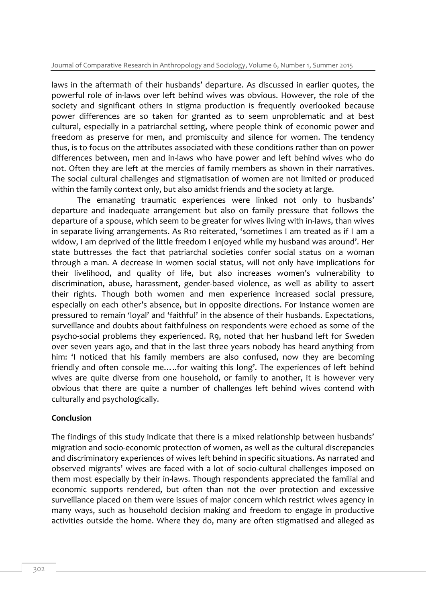laws in the aftermath of their husbands' departure. As discussed in earlier quotes, the powerful role of in-laws over left behind wives was obvious. However, the role of the society and significant others in stigma production is frequently overlooked because power differences are so taken for granted as to seem unproblematic and at best cultural, especially in a patriarchal setting, where people think of economic power and freedom as preserve for men, and promiscuity and silence for women. The tendency thus, is to focus on the attributes associated with these conditions rather than on power differences between, men and in-laws who have power and left behind wives who do not. Often they are left at the mercies of family members as shown in their narratives. The social cultural challenges and stigmatisation of women are not limited or produced within the family context only, but also amidst friends and the society at large.

The emanating traumatic experiences were linked not only to husbands' departure and inadequate arrangement but also on family pressure that follows the departure of a spouse, which seem to be greater for wives living with in-laws, than wives in separate living arrangements. As R10 reiterated, 'sometimes I am treated as if I am a widow, I am deprived of the little freedom I enjoyed while my husband was around'. Her state buttresses the fact that patriarchal societies confer social status on a woman through a man. A decrease in women social status, will not only have implications for their livelihood, and quality of life, but also increases women's vulnerability to discrimination, abuse, harassment, gender-based violence, as well as ability to assert their rights. Though both women and men experience increased social pressure, especially on each other's absence, but in opposite directions. For instance women are pressured to remain 'loyal' and 'faithful' in the absence of their husbands. Expectations, surveillance and doubts about faithfulness on respondents were echoed as some of the psycho-social problems they experienced. R9, noted that her husband left for Sweden over seven years ago, and that in the last three years nobody has heard anything from him: 'I noticed that his family members are also confused, now they are becoming friendly and often console me…..for waiting this long'. The experiences of left behind wives are quite diverse from one household, or family to another, it is however very obvious that there are quite a number of challenges left behind wives contend with culturally and psychologically.

## **Conclusion**

The findings of this study indicate that there is a mixed relationship between husbands' migration and socio-economic protection of women, as well as the cultural discrepancies and discriminatory experiences of wives left behind in specific situations. As narrated and observed migrants' wives are faced with a lot of socio-cultural challenges imposed on them most especially by their in-laws. Though respondents appreciated the familial and economic supports rendered, but often than not the over protection and excessive surveillance placed on them were issues of major concern which restrict wives agency in many ways, such as household decision making and freedom to engage in productive activities outside the home. Where they do, many are often stigmatised and alleged as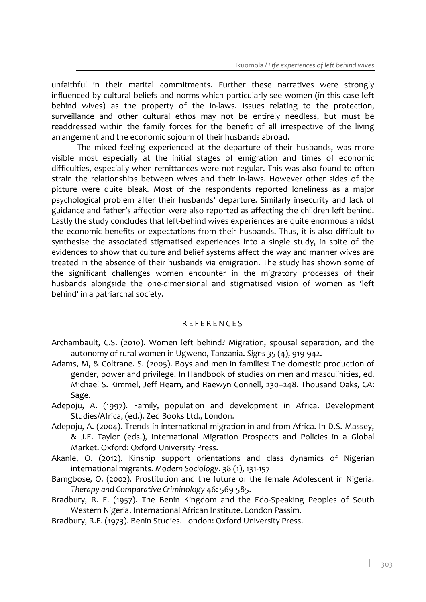unfaithful in their marital commitments. Further these narratives were strongly influenced by cultural beliefs and norms which particularly see women (in this case left behind wives) as the property of the in-laws. Issues relating to the protection, surveillance and other cultural ethos may not be entirely needless, but must be readdressed within the family forces for the benefit of all irrespective of the living arrangement and the economic sojourn of their husbands abroad.

The mixed feeling experienced at the departure of their husbands, was more visible most especially at the initial stages of emigration and times of economic difficulties, especially when remittances were not regular. This was also found to often strain the relationships between wives and their in-laws. However other sides of the picture were quite bleak. Most of the respondents reported loneliness as a major psychological problem after their husbands' departure. Similarly insecurity and lack of guidance and father's affection were also reported as affecting the children left behind. Lastly the study concludes that left-behind wives experiences are quite enormous amidst the economic benefits or expectations from their husbands. Thus, it is also difficult to synthesise the associated stigmatised experiences into a single study, in spite of the evidences to show that culture and belief systems affect the way and manner wives are treated in the absence of their husbands via emigration. The study has shown some of the significant challenges women encounter in the migratory processes of their husbands alongside the one-dimensional and stigmatised vision of women as 'left behind' in a patriarchal society.

#### R E F E R E N C E S

- Archambault, C.S. (2010). Women left behind? Migration, spousal separation, and the autonomy of rural women in Ugweno, Tanzania. *Signs* 35 (4), 919-942.
- Adams, M, & Coltrane. S. (2005). Boys and men in families: The domestic production of gender, power and privilege. In Handbook of studies on men and masculinities, ed. Michael S. Kimmel, Jeff Hearn, and Raewyn Connell, 230–248. Thousand Oaks, CA: Sage.
- Adepoju, A. (1997). Family, population and development in Africa. Development Studies/Africa, (ed.). Zed Books Ltd., London.
- Adepoju, A. (2004). Trends in international migration in and from Africa. In D.S. Massey, & J.E. Taylor (eds.), International Migration Prospects and Policies in a Global Market. Oxford: Oxford University Press.
- Akanle, O. (2012). Kinship support orientations and class dynamics of Nigerian international migrants. *Modern Sociology*. 38 (1), 131-157
- Bamgbose, O. (2002). Prostitution and the future of the female Adolescent in Nigeria. *Therapy and Comparative Criminology* 46: 569-585.
- Bradbury, R. E. (1957). The Benin Kingdom and the Edo-Speaking Peoples of South Western Nigeria. International African Institute. London Passim.
- Bradbury, R.E. (1973). Benin Studies. London: Oxford University Press.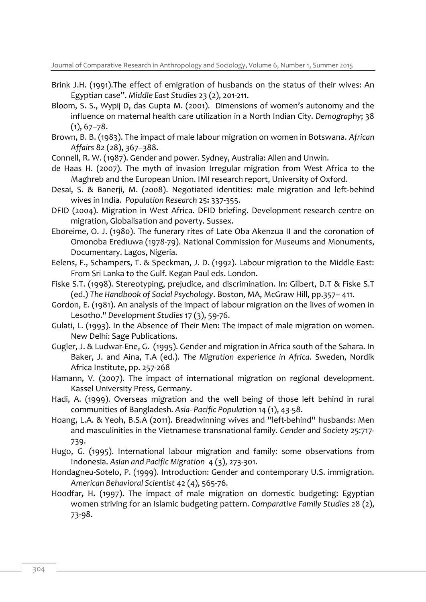- Brink J.H. (1991).The effect of emigration of husbands on the status of their wives: An Egyptian case". *Middle East Studies* 23 (2), 201-211.
- Bloom, S. S., Wypij D, das Gupta M. (2001). Dimensions of women's autonomy and the influence on maternal health care utilization in a North Indian City. *Demography*; 38  $(1), 67 - 78.$
- Brown, B. B. (1983). The impact of male labour migration on women in Botswana. *African Affairs* 82 (28), 367–388.
- Connell, R. W. (1987). Gender and power. Sydney, Australia: Allen and Unwin.
- de Haas H. (2007). The myth of invasion Irregular migration from West Africa to the Maghreb and the European Union. IMI research report, University of Oxford.
- Desai, S. & Banerji, M. (2008). Negotiated identities: male migration and left-behind wives in India. *Population Research* 25**:** 337-355.
- DFID (2004). Migration in West Africa. DFID briefing. Development research centre on migration, Globalisation and poverty. Sussex.
- Eboreime, O. J. (1980). The funerary rites of Late Oba Akenzua II and the coronation of Omonoba Erediuwa (1978-79). National Commission for Museums and Monuments, Documentary. Lagos, Nigeria.
- Eelens, F., Schampers, T. & Speckman, J. D. (1992). Labour migration to the Middle East: From Sri Lanka to the Gulf. Kegan Paul eds. London.
- Fiske S.T. (1998). Stereotyping, prejudice, and discrimination. In: Gilbert, D.T & Fiske S.T (ed.) *The Handbook of Social Psychology*. Boston, MA, McGraw Hill, pp.357– 411.
- Gordon, E. (1981). An analysis of the impact of labour migration on the lives of women in Lesotho." *Development Studies* 17 (3), 59-76.
- Gulati, L. (1993). In the Absence of Their Men: The impact of male migration on women. New Delhi: Sage Publications.
- Gugler, J. & Ludwar-Ene, G. (1995). Gender and migration in Africa south of the Sahara. In Baker, J. and Aina, T.A (ed.). *The Migration experience in Africa*. Sweden, Nordik Africa Institute, pp. 257-268
- Hamann, V. (2007). The impact of international migration on regional development. Kassel University Press, Germany.
- Hadi, A. (1999). Overseas migration and the well being of those left behind in rural communities of Bangladesh. *Asia- Pacific Population* 14 (1), 43-58.
- Hoang, L.A. & Yeoh, B.S.A (2011). Breadwinning wives and ''left-behind'' husbands: Men and masculinities in the Vietnamese transnational family. *Gender and Society* 25:717- 739.
- Hugo, G. (1995). International labour migration and family: some observations from Indonesia. *Asian and Pacific Migration* 4 (3), 273-301.
- Hondagneu-Sotelo, P. (1999). Introduction: Gender and contemporary U.S. immigration. *American Behavioral Scientist* 42 (4), 565-76.
- Hoodfar**,** H**.** (1997). The impact of male migration on domestic budgeting: Egyptian women striving for an Islamic budgeting pattern. *Comparative Family Studies* 28 (2), 73-98.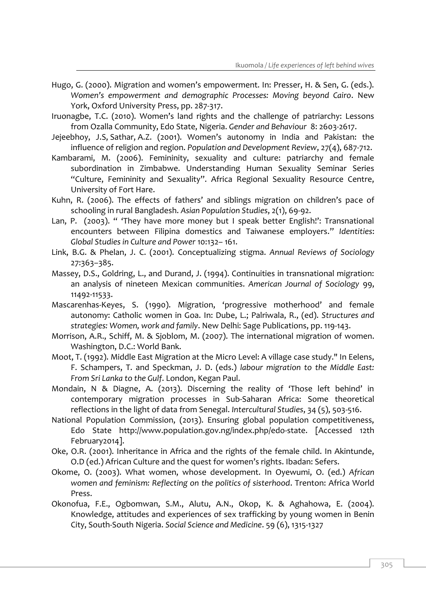- Hugo, G. (2000). Migration and women's empowerment. In: Presser, H. & Sen, G. (eds.). *Women's empowerment and demographic Processes: Moving beyond Cairo*. New York, Oxford University Press, pp. 287-317.
- Iruonagbe, T.C. (2010). Women's land rights and the challenge of patriarchy: Lessons from Ozalla Community, Edo State, Nigeria. *Gender and Behaviour* 8: 2603-2617.
- Jejeebhoy, J.S, Sathar, A.Z. (2001). Women's autonomy in India and Pakistan: the influence of religion and region. *Population and Development Review*, 27(4), 687-712.
- Kambarami, M. (2006). Femininity, sexuality and culture: patriarchy and female subordination in Zimbabwe. Understanding Human Sexuality Seminar Series "Culture, Femininity and Sexuality". Africa Regional Sexuality Resource Centre, University of Fort Hare.
- Kuhn, R. (2006). The effects of fathers' and siblings migration on children's pace of schooling in rural Bangladesh. *Asian Population Studies*, 2(1), 69-92.
- Lan, P. (2003). " 'They have more money but I speak better English!': Transnational encounters between Filipina domestics and Taiwanese employers." *Identities*: *Global Studies in Culture and Power* 10:132– 161.
- Link, B.G. & Phelan, J. C. (2001). Conceptualizing stigma. *Annual Reviews of Sociology* 27:363–385.
- Massey, D.S., Goldring, L., and Durand, J. (1994). Continuities in transnational migration: an analysis of nineteen Mexican communities. *American Journal of Sociology* 99, 11492-11533.
- Mascarenhas-Keyes, S. (1990). Migration, 'progressive motherhood' and female autonomy: Catholic women in Goa. In: Dube, L.; Palriwala, R., (ed). *Structures and strategies: Women, work and family*. New Delhi: Sage Publications, pp. 119-143.
- Morrison, A.R., Schiff, M. & Sjoblom, M. (2007). The international migration of women. Washington, D.C.: World Bank.
- Moot, T. (1992). Middle East Migration at the Micro Level: A village case study." In Eelens, F. Schampers, T. and Speckman, J. D. (eds.) *labour migration to the Middle East: From Sri Lanka to the Gulf*. London, Kegan Paul.
- Mondain, N & Diagne, A. (2013). Discerning the reality of 'Those left behind' in contemporary migration processes in Sub-Saharan Africa: Some theoretical reflections in the light of data from Senegal. *Intercultural Studies*, 34 (5), 503-516.
- National Population Commission, (2013). Ensuring global population competitiveness, Edo State http://www.population.gov.ng/index.php/edo-state. [Accessed 12th February2014].
- Oke, O.R. (2001). Inheritance in Africa and the rights of the female child. In Akintunde, O.D (ed.) African Culture and the quest for women's rights. Ibadan: Sefers.
- Okome, O. (2003). What women, whose development. In Oyewumi, O. (ed.) *African women and feminism: Reflecting on the politics of sisterhood*. Trenton: Africa World Press.
- Okonofua, F.E., Ogbomwan, S.M., Alutu, A.N., Okop, K. & Aghahowa, E. (2004). Knowledge, attitudes and experiences of sex trafficking by young women in Benin City, South-South Nigeria. *Social Science and Medicine*. 59 (6), 1315-1327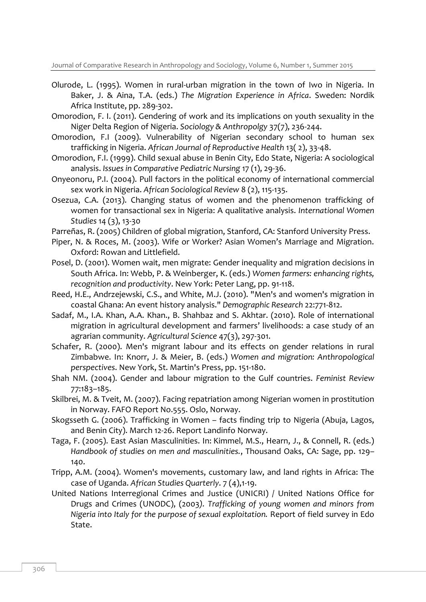Journal of Comparative Research in Anthropology and Sociology, Volume 6, Number 1, Summer 2015

- Olurode, L. (1995). Women in rural-urban migration in the town of Iwo in Nigeria. In Baker, J. & Aina, T.A. (eds.) *The Migration Experience in Africa*. Sweden: Nordik Africa Institute, pp. 289-302.
- Omorodion, F. I. (2011). Gendering of work and its implications on youth sexuality in the Niger Delta Region of Nigeria. *Sociology & Anthropolgy* 37(7), 236-244.
- Omorodion, F.I (2009). Vulnerability of Nigerian secondary school to human sex trafficking in Nigeria. *African Journal of Reproductive Health* 13( 2), 33-48.
- Omorodion, F.I. (1999). Child sexual abuse in Benin City, Edo State, Nigeria: A sociological analysis. *Issues in Comparative Pediatric Nursing* 17 (1), 29-36.
- Onyeonoru, P.I. (2004). Pull factors in the political economy of international commercial sex work in Nigeria. *African Sociological Review* 8 (2), 115-135.
- Osezua, C.A. (2013). Changing status of women and the phenomenon trafficking of women for transactional sex in Nigeria: A qualitative analysis. *International Women Studies* 14 (3), 13-30
- Parreñas, R. (2005) Children of global migration, Stanford, CA: Stanford University Press.
- Piper, N. & Roces, M. (2003). Wife or Worker? Asian Women's Marriage and Migration. Oxford: Rowan and Littlefield.
- Posel, D. (2001). Women wait, men migrate: Gender inequality and migration decisions in South Africa. In: Webb, P. & Weinberger, K. (eds.) *Women farmers: enhancing rights, recognition and productivity*. New York: Peter Lang, pp. 91-118.
- Reed, H.E., Andrzejewski, C.S., and White, M.J. (2010). "Men's and women's migration in coastal Ghana: An event history analysis." *Demographic Research* 22:771-812.
- Sadaf, M., I.A. Khan, A.A. Khan., B. Shahbaz and S. Akhtar. (2010). Role of international migration in agricultural development and farmers' livelihoods: a case study of an agrarian community. *Agricultural Science* 47(3), 297-301.
- Schafer, R. (2000). Men's migrant labour and its effects on gender relations in rural Zimbabwe. In: Knorr, J. & Meier, B. (eds.) *Women and migration: Anthropological perspectives*. New York, St. Martin's Press, pp. 151-180.
- Shah NM. (2004). Gender and labour migration to the Gulf countries. *Feminist Review* 77:183–185.
- Skilbrei, M. & Tveit, M. (2007). Facing repatriation among Nigerian women in prostitution in Norway. FAFO Report No.555. Oslo, Norway.
- Skogsseth G. (2006). Trafficking in Women facts finding trip to Nigeria (Abuja, Lagos, and Benin City). March 12-26. Report Landinfo Norway.
- Taga, F. (2005). East Asian Masculinities. In: Kimmel, M.S., Hearn, J., & Connell, R. (eds.) *Handbook of studies on men and masculinities.*, Thousand Oaks, CA: Sage, pp. 129– 140.
- Tripp, A.M. (2004). Women's movements, customary law, and land rights in Africa: The case of Uganda. *African Studies Quarterly*. 7 (4),1-19.
- United Nations Interregional Crimes and Justice (UNICRI) / United Nations Office for Drugs and Crimes (UNODC), (2003*). Trafficking of young women and minors from Nigeria into Italy for the purpose of sexual exploitation.* Report of field survey in Edo State.